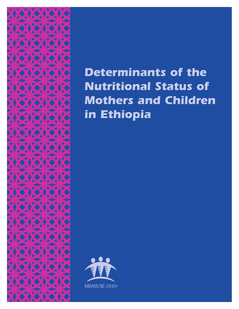

*Determinants of the Nutritional Status of Mothers and Children in Ethiopia*

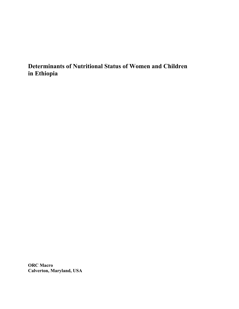# **Determinants of Nutritional Status of Women and Children in Ethiopia**

**ORC Macro Calverton, Maryland, USA**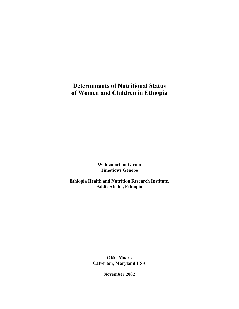# **Determinants of Nutritional Status of Women and Children in Ethiopia**

**Woldemariam Girma Timotiows Genebo** 

**Ethiopia Health and Nutrition Research Institute, Addis Ababa, Ethiopia** 

> **ORC Macro Calverton, Maryland USA**

> > **November 2002**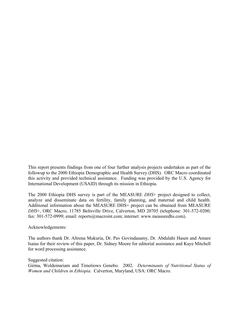This report presents findings from one of four further analysis projects undertaken as part of the followup to the 2000 Ethiopia Demographic and Health Survey (DHS). ORC Macro coordinated this activity and provided technical assistance. Funding was provided by the U.S. Agency for International Development (USAID) through its mission in Ethiopia.

The 2000 Ethiopia DHS survey is part of the MEASURE *DHS*+ project designed to collect, analyze and disseminate data on fertility, family planning, and maternal and child health. Additional information about the MEASURE DHS+ project can be obtained from MEASURE *DHS*+, ORC Macro, 11785 Beltsville Drive, Calverton, MD 20705 (telephone: 301-572-0200; fax: 301-572-0999; email: reports@macroint.com; internet: www.measuredhs.com).

Acknowledgements:

The authors thank Dr. Altrena Mukuria, Dr. Pav Govindasamy, Dr. Abdulahi Hasen and Amare Isaias for their review of this paper, Dr. Sidney Moore for editorial assistance and Kaye Mitchell for word processing assistance.

Suggested citation:

Girma, Woldemariam and Timotiows Genebo. 2002. *Determinants of Nutritional Status of Women and Children in Ethiopia.* Calverton, Maryland, USA: ORC Macro.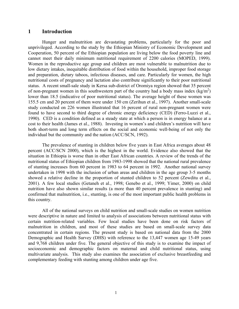## **1 Introduction**

Hunger and malnutrition are devastating problems, particularly for the poor and unprivileged. According to the study by the Ethiopian Ministry of Economic Development and Cooperation, 50 percent of the Ethiopian population are living below the food poverty line and cannot meet their daily minimum nutritional requirement of 2200 calories (MOPED, 1999). Women in the reproductive age group and children are most vulnerable to malnutrition due to low dietary intakes, inequitable distribution of food within the household, improper food storage and preparation, dietary taboos, infectious diseases, and care. Particularly for women, the high nutritional costs of pregnancy and lactation also contribute significantly to their poor nutritional status. A recent small-sale study in Kersa sub-district of Oromiya region showed that 35 percent of non-pregnant women in this southwestern part of the country had a body mass index  $\frac{1}{\text{kg/m}^2}$ lower than 18.5 (indicative of poor nutritional status). The average height of these women was 155.5 cm and 20 percent of them were under 150 cm (Zerihun et al., 1997). Another small-scale study conducted on 226 women illustrated that 16 percent of rural non-pregnant women were found to have second to third degree of chronic energy deficiency (CED) (Ferro-Luzzi et al., 1990). CED is a condition defined as a steady state at which a person is in energy balance at a cost to their health (James et al., 1988). Investing in women's and children's nutrition will have both short-term and long term effects on the social and economic well-being of not only the individual but the community and the nation (ACC/SCN, 1992).

The prevalence of stunting in children below five years in East Africa averages about 48 percent (ACC/SCN 2000), which is the highest in the world. Evidence also showed that the situation in Ethiopia is worse than in other East African countries. A review of the trends of the nutritional status of Ethiopian children from 1983-1998 showed that the national rural prevalence of stunting increases from 60 percent in 1983 to 64 percent in 1992. Another national survey undertaken in 1998 with the inclusion of urban areas and children in the age group 3-5 months showed a relative decline in the proportion of stunted children to 52 percent (Zewditu et al., 2001). A few local studies (Getaneh et al., 1998; Genebo et al., 1999; Yimer, 2000) on child nutrition have also shown similar results (a more than 40 percent prevalence in stunting) and confirmed that malnutrition, i.e., stunting, is one of the most important public health problems in this country.

All of the national surveys on child nutrition and small-scale studies on women nutrition were descriptive in nature and limited to analysis of associations between nutritional status with certain nutrition-related variables. Few local studies have been done on risk factors of malnutrition in children, and most of these studies are based on small-scale survey data concentrated in certain regions. The present study is based on national data from the 2000 Demographic and Health Survey (DHS) with reference to the 13,447 women age 15-49 years and 9,768 children under five. The general objective of this study is to examine the impact of socioeconomic and demographic factors on maternal and child nutritional status, using multivariate analysis. This study also examines the association of exclusive breastfeeding and complementary feeding with stunting among children under age five.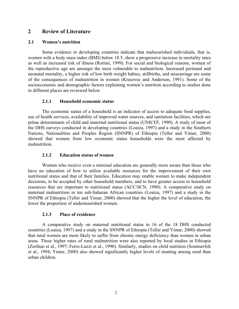## **2 Review of Literature**

## **2.1 Women's nutrition**

Some evidence in developing countries indicate that malnourished individuals, that is, women with a body mass index (BMI) below 18.5, show a progressive increase in mortality rates as well as increased risk of illness (Rotimi, 1999). For social and biological reasons, women of the reproductive age are amongst the most vulnerable to malnutrition. Increased perinatal and neonatal mortality, a higher risk of low birth weight babies, stillbirths, and miscarriage are some of the consequences of malnutrition in women (Krasovec and Anderson, 1991). Some of the socioeconomic and demographic factors explaining women's nutrition according to studies done in different places are reviewed below.

#### **2.1.1 Household economic status**

The economic status of a household is an indicator of access to adequate food supplies, use of health services, availability of improved water sources, and sanitation facilities, which are prime determinants of child and maternal nutritional status (UNICEF, 1990). A study of most of the DHS surveys conducted in developing countries (Loaiza, 1997) and a study in the Southern Nations, Nationalities and Peoples Region (SNNPR) of Ethiopia (Teller and Yimar, 2000) showed that women from low economic status households were the most affected by malnutrition.

## **2.1.2 Education status of women**

Women who receive even a minimal education are generally more aware than those who have no education of how to utilize available resources for the improvement of their own nutritional status and that of their families. Education may enable women to make independent decisions, to be accepted by other household members, and to have greater access to household resources that are important to nutritional status (ACC/SCN, 1990). A comparative study on maternal malnutrition in ten sub-Saharan African countries (Loaiza, 1997) and a study in the SNNPR of Ethiopia (Teller and Yimar, 2000) showed that the higher the level of education, the lower the proportion of undernourished women.

## **2.1.3 Place of residence**

A comparative study on maternal nutritional status in 16 of the 18 DHS conducted countries (Loaiza, 1997) and a study in the SNNPR of Ethiopia (Teller and Yimar, 2000) showed that rural women are more likely to suffer from chronic energy deficiency than women in urban areas. These higher rates of rural malnutrition were also reported by local studies in Ethiopia (Zerihun et al., 1997; Ferro-Luzzi et al., 1990). Similarly, studies on child nutrition (Sommerfelt et al., 1994; Yimer, 2000) also showed significantly higher levels of stunting among rural than urban children.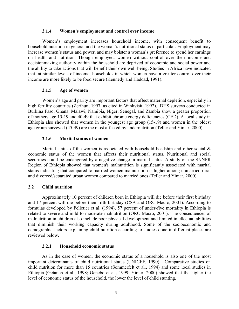#### **2.1.4 Women's employment and control over income**

Women's employment increases household income, with consequent benefit to household nutrition in general and the woman's nutritional status in particular. Employment may increase women's status and power, and may bolster a woman's preference to spend her earnings on health and nutrition. Though employed, women without control over their income and decisionmaking authority within the household are deprived of economic and social power and the ability to take actions that will benefit their own well-being. Studies in Africa have indicated that, at similar levels of income, households in which women have a greater control over their income are more likely to be food secure (Kennedy and Haddad, 1991).

#### **2.1.5 Age of women**

Women's age and parity are important factors that affect maternal depletion, especially in high fertility countries (Zerihun, 1997, as cited in Winkvisit, 1992). DHS surveys conducted in Burkina Faso, Ghana, Malawi, Namibia, Niger, Senegal, and Zambia show a greater proportion of mothers age 15-19 and 40-49 that exhibit chronic energy deficiencies (CED). A local study in Ethiopia also showed that women in the youngest age group (15-19) and women in the oldest age group surveyed (45-49) are the most affected by undernutrition (Teller and Yimar, 2000).

## **2.1.6 Marital status of women**

Marital status of the women is associated with household headship and other social  $\&$ economic status of the women that affects their nutritional status. Nutritional and social securities could be endangered by a negative change in marital status. A study on the SNNPR Region of Ethiopia showed that women's malnutrition is significantly associated with marital status indicating that compared to married women malnutrition is higher among unmarried rural and divorced/separated urban women compared to married ones (Teller and Yimar, 2000).

## **2.2 Child nutrition**

Approximately 10 percent of children born in Ethiopia will die before their first birthday and 17 percent will die before their fifth birthday (CSA and ORC Macro, 2001). According to formulas developed by Pelletier et al. (1994), 57 percent of under-five mortality in Ethiopia is related to severe and mild to moderate malnutrition (ORC Macro, 2001). The consequences of malnutrition in children also include poor physical development and limited intellectual abilities that diminish their working capacity during adulthood. Some of the socioeconomic and demographic factors explaining child nutrition according to studies done in different places are reviewed below.

#### **2.2.1 Household economic status**

As in the case of women, the economic status of a household is also one of the most important determinants of child nutritional status (UNICEF, 1990). Comparative studies on child nutrition for more than 15 countries (Sommerfelt et al., 1994) and some local studies in Ethiopia (Getaneh et al., 1998; Genebo et al., 1999; Yimer, 2000) showed that the higher the level of economic status of the household, the lower the level of child stunting.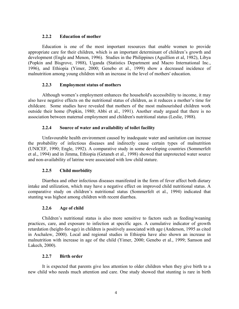## **2.2.2 Education of mother**

Education is one of the most important resources that enable women to provide appropriate care for their children, which is an important determinant of children's growth and development (Engle and Menon, 1996). Studies in the Philippines (Aguillion et al, 1982), Libya (Popkin and Bisgrove, 1988), Uganda (Statistics Department and Macro International Inc., 1996), and Ethiopia (Yimer, 2000; Genebo et al., 1999) show a decreased incidence of malnutrition among young children with an increase in the level of mothers' education.

## **2.2.3 Employment status of mothers**

Although women's employment enhances the household's accessibility to income, it may also have negative effects on the nutritional status of children, as it reduces a mother's time for childcare. Some studies have revealed that mothers of the most malnourished children work outside their home (Popkin, 1980; Abbi et al., 1991). Another study argued that there is no association between maternal employment and children's nutritional status (Leslie, 1988).

#### **2.2.4 Source of water and availability of toilet facility**

Unfavourable health environment caused by inadequate water and sanitation can increase the probability of infectious diseases and indirectly cause certain types of malnutrition (UNICEF, 1990; Engle, 1992). A comparative study in some developing countries (Sommerfelt et al., 1994) and in Jimma, Ethiopia (Getaneh et al., 1998) showed that unprotected water source and non-availability of latrine were associated with low child stature.

## **2.2.5 Child morbidity**

Diarrhea and other infectious diseases manifested in the form of fever affect both dietary intake and utilization, which may have a negative effect on improved child nutritional status. A comparative study on children's nutritional status (Sommerfelt et al., 1994) indicated that stunting was highest among children with recent diarrhea.

## **2.2.6 Age of child**

Children's nutritional status is also more sensitive to factors such as feeding/weaning practices, care, and exposure to infection at specific ages. A cumulative indicator of growth retardation (height-for-age) in children is positively associated with age (Anderson, 1995 as cited in Aschalew, 2000). Local and regional studies in Ethiopia have also shown an increase in malnutrition with increase in age of the child (Yimer, 2000; Genebo et al., 1999; Samson and Lakech, 2000).

#### **2.2.7 Birth order**

It is expected that parents give less attention to older children when they give birth to a new child who needs much attention and care. One study showed that stunting is rare in birth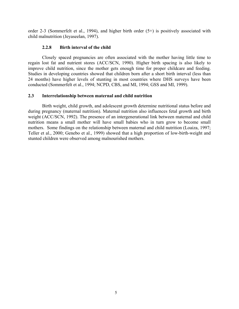order 2-3 (Sommerfelt et al., 1994), and higher birth order (5+) is positively associated with child malnutrition (Jeyaseelan, 1997).

## **2.2.8 Birth interval of the child**

Closely spaced pregnancies are often associated with the mother having little time to regain lost fat and nutrient stores (ACC/SCN, 1990). Higher birth spacing is also likely to improve child nutrition, since the mother gets enough time for proper childcare and feeding. Studies in developing countries showed that children born after a short birth interval (less than 24 months) have higher levels of stunting in most countries where DHS surveys have been conducted (Sommerfelt et al., 1994; NCPD, CBS, and MI, 1994; GSS and MI, 1999).

## **2.3 Interrelationship between maternal and child nutrition**

Birth weight, child growth, and adolescent growth determine nutritional status before and during pregnancy (maternal nutrition). Maternal nutrition also influences fetal growth and birth weight (ACC/SCN, 1992). The presence of an intergenerational link between maternal and child nutrition means a small mother will have small babies who in turn grow to become small mothers. Some findings on the relationship between maternal and child nutrition (Loaiza, 1997; Teller et al., 2000; Genebo et al., 1999) showed that a high proportion of low-birth-weight and stunted children were observed among malnourished mothers.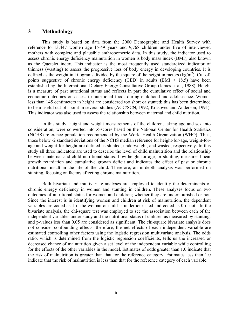## **3 Methodology**

This study is based on data from the 2000 Demographic and Health Survey with reference to 13,447 women age 15-49 years and 9,768 children under five of interviewed mothers with complete and plausible anthropometric data. In this study, the indicator used to assess chronic energy deficiency malnutrition in women is body mass index (BMI), also known as the Quetelet index. This indicator is the most frequently used standardized indicator of thinness (wasting) to assess the progressive loss of body energy in developing countries. It is defined as the weight in kilograms divided by the square of the height in meters  $\frac{kg}{m^2}$ . Cut-off points suggestive of chronic energy deficiency (CED) in adults (BMI  $\leq$  18.5) have been established by the International Dietary Energy Consultative Group (James et al., 1988). Height is a measure of past nutritional status and reflects in part the cumulative effect of social and economic outcomes on access to nutritional foods during childhood and adolescence. Women less than 145 centimeters in height are considered too short or stunted; this has been determined to be a useful cut-off point in several studies (ACC/SCN, 1992; Krasovec and Anderson, 1991). This indicator was also used to assess the relationship between maternal and child nutrition.

In this study, height and weight measurements of the children, taking age and sex into consideration, were converted into Z-scores based on the National Center for Health Statistics (NCHS) reference population recommended by the World Health Organization (WHO). Thus, those below -2 standard deviations of the NCHS median reference for height-for-age, weight-forage and weight-for-height are defined as stunted, underweight, and wasted, respectively. In this study all three indicators are used to describe the level of child malnutrition and the relationship between maternal and child nutritional status. Low height-for-age, or stunting, measures linear growth retardation and cumulative growth deficit and indicates the effect of past or chronic nutritional insult in the life of the child. Therefore, an in-depth analysis was performed on stunting, focusing on factors affecting chronic malnutrition.

Both bivariate and multivariate analyses are employed to identify the determinants of chronic energy deficiency in women and stunting in children. These analyses focus on two outcomes of nutritional status for women and children; whether they are undernourished or not. Since the interest is in identifying women and children at risk of malnutrition, the dependent variables are coded as 1 if the woman or child is undernourished and coded as 0 if not. In the bivariate analysis, the chi-square test was employed to see the association between each of the independent variables under study and the nutritional status of children as measured by stunting, and p-values less than 0.05 are considered as significant. The chi-square bivariate analysis does not consider confounding effects; therefore, the net effects of each independent variable are estimated controlling other factors using the logistic regression multivariate analysis**.** The odds ratio, which is determined from the logistic regression coefficients, tells us the increased or decreased chance of malnutrition given a set level of the independent variable while controlling for the effects of the other variables in the model. Estimates of odds greater than 1.0 indicate that the risk of malnutrition is greater than that for the reference category. Estimates less than 1.0 indicate that the risk of malnutrition is less than that for the reference category of each variable.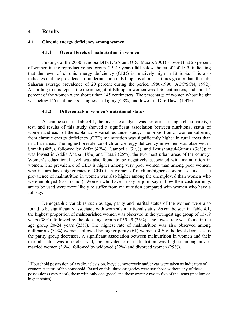## **4 Results**

1

#### **4.1 Chronic energy deficiency among women**

#### **4.1.1 Overall levels of malnutrition in women**

Findings of the 2000 Ethiopia DHS (CSA and ORC Macro, 2001) showed that 25 percent of women in the reproductive age group (15-49 years) fall below the cutoff of 18.5, indicating that the level of chronic energy deficiency (CED) is relatively high in Ethiopia. This also indicates that the prevalence of undernutrition in Ethiopia is about 1.5 times greater than the sub-Saharan average prevalence of 20 percent during the period 1980-1990 (ACC/SCN, 1992). According to this report, the mean height of Ethiopian women was 156 centimeters, and about 4 percent of the women were shorter than 145 centimeters. The percentage of women whose height was below 145 centimeters is highest in Tigray (4.8%) and lowest in Dire-Dawa (1.4%).

#### **4.1.2 Differentials of women's nutritional status**

As can be seen in Table 4.1, the bivariate analysis was performed using a chi-square  $(\chi^2)$ test, and results of this study showed a significant association between nutritional status of women and each of the explanatory variables under study. The proportion of women suffering from chronic energy deficiency (CED) malnutrition was significantly higher in rural areas than in urban areas. The highest prevalence of chronic energy deficiency in women was observed in Somali (48%), followed by Affar (42%), Gambella (39%), and Benishangul-Gumuz (38%); it was lowest in Addis Ababa (18%) and Harari (25%), the two most urban areas of the country. Women's educational level was also found to be negatively associated with malnutrition in women. The prevalence of CED is higher among very poor women than among poor women, who in turn have higher rates of CED than women of medium/higher economic status<sup>1</sup>. The prevalence of malnutrition in women was also higher among the unemployed than women who were employed (cash or not). Women who have no say or joint say in how their cash earnings are to be used were more likely to suffer from malnutrition compared with women who have a full say.

Demographic variables such as age, parity and marital status of the women were also found to be significantly associated with women's nutritional status. As can be seen in Table 4.1, the highest proportion of malnourished women was observed in the youngest age group of 15-19 years (38%), followed by the oldest age group of 35-49 (33%). The lowest rate was found in the age group 20-24 years (23%). The highest rate of malnutrition was also observed among nulliparous (34%) women, followed by higher parity  $(6+)$  women (30%); the level decreases as the parity group decreases. A significant association between malnutrition in women and their marital status was also observed; the prevalence of malnutrition was highest among nevermarried women (36%), followed by widowed (32%) and divorced women (29%).

<sup>&</sup>lt;sup>1</sup> Household possession of a radio, television, bicycle, motorcycle and/or car were taken as indicators of economic status of the household. Based on this, three categories were set: those without any of these possessions (very poor), those with only one (poor) and those owning two to five of the items (medium or higher status).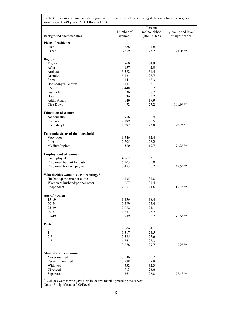|                                         | Number of          | Percent<br>malnourished | $\chi^2$ -value and level |  |
|-----------------------------------------|--------------------|-------------------------|---------------------------|--|
| Background characteristics              | women <sup>1</sup> | (BMI < 18.5)            | of significance           |  |
| <b>Place of residence</b>               |                    |                         |                           |  |
| Rural                                   | 10,888             | 31.8                    |                           |  |
| Urban                                   | 2559               | 23.2                    | 73.0***                   |  |
| Region                                  |                    |                         |                           |  |
| Tigray                                  | 860                | 34.9                    |                           |  |
| Affar                                   | 157                | 42.0                    |                           |  |
| Amhara                                  | 3,388              | 31.4                    |                           |  |
| Oromiya                                 | 5,121              | 28.7                    |                           |  |
| Somali                                  | 141                | 48.3                    |                           |  |
| Benishangul-Gumuz                       | 137                | 38.1                    |                           |  |
| <b>SNNP</b>                             | 2,448              | 30.7                    |                           |  |
| Gambela                                 | 36                 | 38.7                    |                           |  |
| Harari                                  | 36                 | 25.2                    |                           |  |
| Addis Ababa                             | 649                | 17.9                    |                           |  |
| Dire-Dawa                               | 72                 | 27.2                    | 101.9***                  |  |
|                                         |                    |                         |                           |  |
| <b>Education of women</b>               |                    |                         |                           |  |
| No education                            | 9,956              | 30.9                    |                           |  |
| Primary                                 | 2,199              | 30.5                    | $27.2***$                 |  |
| Secondary+                              | 1,292              | 23.8                    |                           |  |
| <b>Economic status of the household</b> |                    |                         |                           |  |
| Very poor                               | 9,546              | 32.4                    |                           |  |
| Poor                                    | 2,705              | 26.2                    |                           |  |
| Medium/higher                           | 580                | 19.7                    | $71.2***$                 |  |
| <b>Employment of women</b>              |                    |                         |                           |  |
| Unemployed                              | 4,867              | 33.1                    |                           |  |
| Employed but not for cash               | 5,103              | 30.0                    |                           |  |
| Employed for cash payment               | 3,453              | 26.2                    | 45.5***                   |  |
| Who decides women's cash earnings?      |                    |                         |                           |  |
| Husband/partner/other alone             | 135                | 32.8                    |                           |  |
| Women & husband/partner/other           | 667                | 31.4                    |                           |  |
| Respondent                              | 2,651              | 24.6                    | $15.7***$                 |  |
|                                         |                    |                         |                           |  |
| Age of women<br>$15-19$                 | 3,456              | 38.4                    |                           |  |
| $20 - 24$                               | 2,389              | 23.4                    |                           |  |
| 25-29                                   | 2,082              | 24.1                    |                           |  |
| 30-34                                   | 1,531              | 23.7                    |                           |  |
| 35-49                                   | 3,989              | 32.7                    | 241.6***                  |  |
|                                         |                    |                         |                           |  |
| Parity<br>0                             | 4,606              | 34.1                    |                           |  |
| 1                                       | 1,317              | 24.5                    |                           |  |
| $2 - 3$                                 | 2,385              | 27.6                    |                           |  |
| $4 - 5$                                 | 1,861              | 28.3                    |                           |  |
| $6+$                                    | 3,278              | 29.7                    | $65.2***$                 |  |
|                                         |                    |                         |                           |  |
| <b>Marital status of women</b>          |                    |                         |                           |  |
| Never married                           | 3,636              | 35.7                    |                           |  |
| Currently married                       | 7,998              | 27.8                    |                           |  |
| Widowed                                 | 532                | 32.3                    |                           |  |
| Divorced                                | 918                | 28.6                    |                           |  |
| Separated                               | 363                | 26.8                    | 77.4***                   |  |

Note: \*\*\* significant at 0.001level

Г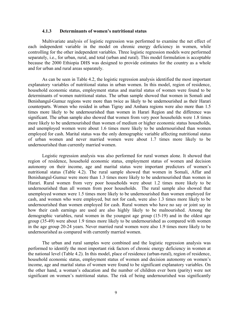#### **4.1.3 Determinants of women's nutritional status**

Multivariate analysis of logistic regression was performed to examine the net effect of each independent variable in the model on chronic energy deficiency in women, while controlling for the other independent variables. Three logistic regression models were performed separately, i.e., for urban, rural, and total (urban and rural). This model formulation is acceptable because the 2000 Ethiopia DHS was designed to provide estimates for the country as a whole and for urban and rural areas separately.

As can be seen in Table 4.2, the logistic regression analysis identified the most important explanatory variables of nutritional status in urban women. In this model, region of residence, household economic status, employment status and marital status of women were found to be determinants of women nutritional status. The urban sample showed that women in Somali and Benishangul-Gumuz regions were more than twice as likely to be undernourished as their Harari counterparts. Women who resided in urban Tigray and Amhara regions were also more than 1.5 times more likely to be undernourished than women in Harari Region and the difference was significant. The urban sample also showed that women from very poor households were 1.8 times more likely to be undernourished than women of medium or higher economic status households, and unemployed women were about 1.6 times more likely to be undernourished than women employed for cash. Marital status was the only demographic variable affecting nutritional status of urban women and never married women were about 1.7 times more likely to be undernourished than currently married women.

Logistic regression analysis was also performed for rural women alone. It showed that region of residence, household economic status, employment status of women and decision autonomy on their income, age and marital status were important predictors of women's nutritional status (Table 4.2). The rural sample showed that women in Somali, Affar and Benishangul-Gumuz were more than 1.3 times more likely to be undernourished than women in Harari. Rural women from very poor households were about 1.2 times more likely to be undernourished than all women from poor households. The rural sample also showed that unemployed women were 1.5 times more likely to be undernourished than women employed for cash, and women who were employed, but not for cash, were also 1.3 times more likely to be undernourished than women employed for cash. Rural women who have no say or joint say in how their cash earnings are used are also highly likely to be malnourished. Among the demographic variables, rural women in the youngest age group (15-19) and in the oldest age group (35-49) were about 1.9 times more likely to be undernourished as compared with women in the age group 20-24 years. Never married rural women were also 1.9 times more likely to be undernourished as compared with currently married women.

The urban and rural samples were combined and the logistic regression analysis was performed to identify the most important risk factors of chronic energy deficiency in women at the national level (Table 4.2). In this model, place of residence (urban-rural), region of residence, household economic status, employment status of women and decision autonomy on women's income, age and marital status of women were found to be significant explanatory variables. On the other hand, a woman's education and the number of children ever born (parity) were not significant on women's nutritional status. The risk of being undernourished was significantly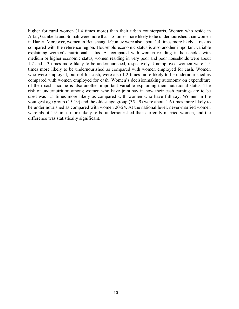higher for rural women (1.4 times more) than their urban counterparts. Women who reside in Affar, Gambella and Somali were more than 1.6 times more likely to be undernourished than women in Harari. Moreover, women in Benishangul-Gumuz were also about 1.4 times more likely at risk as compared with the reference region. Household economic status is also another important variable explaining women's nutritional status. As compared with women residing in households with medium or higher economic status, women residing in very poor and poor households were about 1.7 and 1.3 times more likely to be undernourished, respectively. Unemployed women were 1.5 times more likely to be undernourished as compared with women employed for cash. Women who were employed, but not for cash, were also 1.2 times more likely to be undernourished as compared with women employed for cash. Women's decisionmaking autonomy on expenditure of their cash income is also another important variable explaining their nutritional status. The risk of undernutrition among women who have joint say in how their cash earnings are to be used was 1.5 times more likely as compared with women who have full say. Women in the youngest age group (15-19) and the oldest age group (35-49) were about 1.6 times more likely to be under nourished as compared with women 20-24. At the national level, never-married women were about 1.9 times more likely to be undernourished than currently married women, and the difference was statistically significant.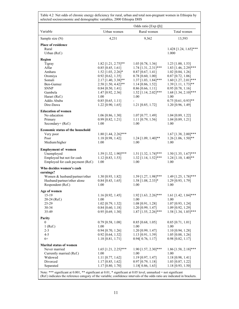Table 4.2 Net odds of chronic energy deficiency for rural, urban and total non-pregnant women in Ethiopia by selected socioeconomic and demographic variables, 2000 Ethiopia DHS

| Odds ratio [ $Exp(\beta)$ ]                                                                                             |                                             |                                               |                                             |  |  |
|-------------------------------------------------------------------------------------------------------------------------|---------------------------------------------|-----------------------------------------------|---------------------------------------------|--|--|
| Variable                                                                                                                | Urban women                                 | Rural women                                   | Total women                                 |  |  |
|                                                                                                                         |                                             |                                               |                                             |  |  |
| Sample size (N)                                                                                                         | 4,231                                       | 9,362                                         | 13,593                                      |  |  |
| <b>Place of residence</b>                                                                                               |                                             |                                               |                                             |  |  |
| Rural                                                                                                                   |                                             |                                               | 1.428 [1.24, 1.65]***                       |  |  |
| Urban (Ref.)                                                                                                            |                                             |                                               | 1.000                                       |  |  |
| Region                                                                                                                  |                                             |                                               |                                             |  |  |
| Tigray                                                                                                                  | $1.82$ [1.21, 2.75]**                       | $1.03$ [0.78, 1.36]                           | $1.23$ [1.00, 1.53]                         |  |  |
| Affar<br>Amhara                                                                                                         | $0.85$ [0.45, 1.61]<br>$1.52$ [1.03, 2.26]* | $1.74$ [1.31, 2.31]***<br>$0.87$ [0.67, 1.41] | 1.83 [1.46, 2.29]***<br>$1.02$ [0.84, 1.26] |  |  |
| Oromiya                                                                                                                 | $0.92$ [0.62, 1.35]                         | $0.78$ [0.60, 1.00]                           | $0.87$ [0.72, 1.06]                         |  |  |
| Somali                                                                                                                  | 2.17 [1.40, 3.38]**                         | $1.37$ [1.03, 1.84]***                        | $1.60$ [1.27, 2.01]***                      |  |  |
| Ben-Gumuz                                                                                                               | 2.58 [1.50, 4.42]**                         | 1.14 $[0.86, 1.52]$                           | $1.39$ [1.11, 1.73]**                       |  |  |
| <b>SNNP</b>                                                                                                             | $0.84$ [0.50, 1.41]                         | $0.86$ [0.66, 1.11]                           | $0.95$ [0.78, 1.16]                         |  |  |
| Gambela                                                                                                                 | 1.47 [0.92, 2.36]                           | $1.52$ [1.14, $2.02$ ]***                     | $1.68$ [1.34, 2.10]***                      |  |  |
| Harari (Ref.)                                                                                                           | 1.00                                        | 1.00                                          | 1.00                                        |  |  |
| Addis Ababa                                                                                                             | $0.85$ [0.65, 1.11]                         | $\overline{\phantom{0}}$                      | $0.75$ [0.61, 0.93]**                       |  |  |
| Dire-Dawa                                                                                                               | $1.22$ [0.90, 1.65]                         | $1.21$ [0.85, 1.72]                           | 1.20 [0.96, 1.49]                           |  |  |
| <b>Education of women</b>                                                                                               |                                             |                                               |                                             |  |  |
| No education                                                                                                            | $1.06$ [0.86, 1.30]                         | $1.07$ [0.77, 1.49]                           | 1.04 [0.89, 1.22]                           |  |  |
| Primary                                                                                                                 | 0.99 [0.82, 1.21]                           | 1.11 $[0.79, 1.56]$                           | 1.04 [0.89, 1.21]                           |  |  |
| Secondary+ (Ref.)                                                                                                       | 1.00                                        | 1.00                                          | 1.00                                        |  |  |
| Economic status of the household                                                                                        |                                             |                                               |                                             |  |  |
| Very poor                                                                                                               | $1.80$ [1.44, 2.26]***                      |                                               | $1.67$ [1.38, 2.00]***                      |  |  |
| Poor                                                                                                                    | 1.18 [0.98, 1.42]                           | 1.24 [1.09, 1.40]**                           | $1.26$ [1.06, 1.50]**                       |  |  |
| Medium/higher                                                                                                           | 1.00                                        | 1.00                                          | 1.00                                        |  |  |
| <b>Employment of women</b>                                                                                              |                                             |                                               |                                             |  |  |
| Unemployed                                                                                                              | 1.59 [1.32, 1.90]***                        | $1.51$ [1.32, 1.74]***                        | $1.50$ [1.35, 1.67]***                      |  |  |
| Employed but not for cash                                                                                               | $1.12$ [0.83, 1.53]                         | $1.32$ [1.14, 1.52]***                        | $1.24$ [1.10, 1.40]**                       |  |  |
| Employed for cash payment (Ref.)                                                                                        | 1.00                                        | 1.00                                          | 1.00                                        |  |  |
| Who decides women's cash                                                                                                |                                             |                                               |                                             |  |  |
| earnings?                                                                                                               |                                             |                                               |                                             |  |  |
| Women & husband/partner/other                                                                                           | $1.30$ [0.93, 1.82]                         | $1.59$ [1.27, 1.98]***                        | $1.49$ [1.25, 1.78]***                      |  |  |
| Husband/partner/other alone<br>Respondent (Ref.)                                                                        | $0.84$ [0.43, 1.65]<br>1.00                 | $1.58$ [1.08, 2.33]*<br>1.00                  | 1.29 [0.93, 1.79]<br>1.00                   |  |  |
|                                                                                                                         |                                             |                                               |                                             |  |  |
| Age of women                                                                                                            |                                             |                                               |                                             |  |  |
| $15-19$                                                                                                                 | 1.16 [0.92, 1.45]                           | 1.92 [1.63, 2.26]***                          | $1.61$ [1.42, 1.84]***                      |  |  |
| 20-24 (Ref.)<br>$25-29$                                                                                                 | 1.00<br>1.02 [0.79, 1.32]                   | 1.00<br>1.08 [0.91, 1.28]                     | 1.00<br>1.07 [0.93, 1.24]                   |  |  |
| $30 - 34$                                                                                                               | $0.84$ [0.60, 1.18]                         | $1.20$ [0.99, 1.47]                           | 1.09 [0.92, 1.29]                           |  |  |
| 35-49                                                                                                                   | $0.95$ [0.69, 1.30]                         | 1.87 [1.55, 2.26]***                          | $1.58$ [1.34, 1.85]***                      |  |  |
|                                                                                                                         |                                             |                                               |                                             |  |  |
| Parity<br>0                                                                                                             | $0.79$ [0.58, 1.08]                         | $0.85$ [0.68, 1.05]                           | $0.85$ [0.71, 1.01]                         |  |  |
| $1$ (Ref.)                                                                                                              | 1.00                                        | 1.00                                          | 1.00                                        |  |  |
| $2 - 3$                                                                                                                 | $0.94$ [0.70, 1.26]                         | 1.20 [0.99, 1.47]                             | 1.10 [0.94, 1.28]                           |  |  |
| $4 - 5$                                                                                                                 | $0.92$ [0.64, 1.32]                         | 1.13 [0.91, 1.39]                             | $1.05$ [0.88, 1.26]                         |  |  |
| $6+$                                                                                                                    | $1.18$ [0.81, 1.71]                         | 0.94[0.76, 1.17]                              | $0.98$ [0.82, 1.17]                         |  |  |
| <b>Marital status of women</b>                                                                                          |                                             |                                               |                                             |  |  |
| Never married                                                                                                           | $1.65$ [1.21, 2.25]***                      | $1.90$ [1.57, 2.30]***                        | $1.86$ [1.58, 2.18]***                      |  |  |
| Currently married (Ref.)                                                                                                | 1.00                                        | 1.00                                          | 1.00                                        |  |  |
| Widowed                                                                                                                 | $1.11$ [0.77, 1.62]                         | 1.19 [0.97, 1.47]                             | 1.18 [0.98, 1.41]                           |  |  |
| Divorced                                                                                                                | $1.17$ [0.85, 1.62]                         | $0.97$ [0.79, 1.18]                           | $1.03$ [0.87, 1.22]                         |  |  |
| Separated                                                                                                               | $1.17$ [0.80, 1.70]                         | 1.18[0.86, 1.63]                              | 1.18 [0.93, 1.50]                           |  |  |
| Note: *** significant at $0.001$ , ** significant at $0.01$ , * significant at $0.05$ level, unmarked = not significant |                                             |                                               |                                             |  |  |

(Ref.) indicates the reference category of the variable; confidence intervals of the odds ratio are indicated in brackets.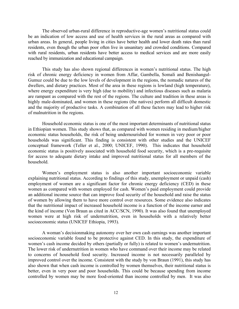The observed urban-rural difference in reproductive-age women's nutritional status could be an indication of low access and use of health services in the rural areas as compared with urban areas. In general, people living in cities have better health and lower death rates than rural residents, even though the urban poor often live in unsanitary and crowded conditions. Compared with rural residents, urban residents have better access to medical services and are more easily reached by immunization and educational campaign.

This study has also shown regional differences in women's nutritional status. The high risk of chronic energy deficiency in women from Affar, Gambella, Somali and Benishangul-Gumuz could be due to the low levels of development in the regions, the nomadic natures of the dwellers, and dietary practices. Most of the area in these regions is lowland (high temperature), where energy expenditure is very high (due to mobility) and infectious diseases such as malaria are rampant as compared with the rest of the regions. The culture and tradition in these areas is highly male-dominated, and women in these regions (the natives) perform all difficult domestic and the majority of productive tasks. A combination of all these factors may lead to higher risk of malnutrition in the regions.

Household economic status is one of the most important determinants of nutritional status in Ethiopian women. This study shows that, as compared with women residing in medium/higher economic status households, the risk of being undernourished for women in very poor or poor households was significant. This finding is consistent with other studies and the UNICEF conceptual framework (Teller et al., 2000; UNICEF, 1990). This indicates that household economic status is positively associated with household food security, which is a pre-requisite for access to adequate dietary intake and improved nutritional status for all members of the household.

Women's employment status is also another important socioeconomic variable explaining nutritional status. According to findings of this study, unemployment or unpaid (cash) employment of women are a significant factor for chronic energy deficiency (CED) in these women as compared with women employed for cash. Women's paid employment could provide an additional income source that can improve food security of the household and raise the status of women by allowing them to have more control over resources. Some evidence also indicates that the nutritional impact of increased household income is a function of the income earner and the kind of income (Von Braun as cited in ACC/SCN, 1990). It was also found that unemployed women were at high risk of undernutrition, even in households with a relatively better socioeconomic status (UNICEF Ethiopia, 1993).

A woman's decisionmaking autonomy over her own cash earnings was another important socioeconomic variable found to be protective against CED. In this study, the expenditure of women's cash income decided by others (partially or fully) is related to women's undernutrition. The lower risk of undernutrition in women who have command over their income may be related to concerns of household food security. Increased income is not necessarily paralleled by improved control over the income. Consistent with the study by von Braun (1991), this study has also shown that when cash income is controlled by women themselves, their nutritional status is better, even in very poor and poor households. This could be because spending from income controlled by women may be more food-oriented than income controlled by men. It was also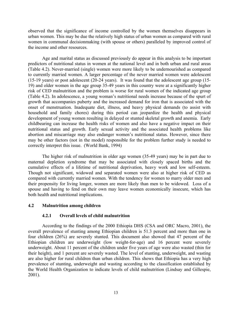observed that the significance of income controlled by the women themselves disappears in urban women. This may be due the relatively high status of urban women as compared with rural women in communal decisionmaking (with spouse or others) paralleled by improved control of the income and other resources.

Age and marital status as discussed previously do appear in this analysis to be important predictors of nutritional status in women at the national level and in both urban and rural areas (Table 4.2). Never-married (single) women were more likely to be undernourished as compared to currently married women. A larger percentage of the never married women were adolescent (15-19 years) or post adolescent (20-24 years). It was found that the adolescent age group (15- 19) and older women in the age group 35-49 years in this country were at a significantly higher risk of CED malnutrition and the problem is worse for rural women of the indicated age group (Table 4.2). In adolescence, a young woman's nutritional needs increase because of the spurt of growth that accompanies puberty and the increased demand for iron that is associated with the onset of menstruation. Inadequate diet, illness, and heavy physical demands (to assist with household and family chores) during this period can jeopardize the health and physical development of young women resulting in delayed or stunted skeletal growth and anemia. Early childbearing can increase the health risks of women and also have a negative impact on their nutritional status and growth. Early sexual activity and the associated health problems like abortion and miscarriage may also endanger women's nutritional status. However, since there may be other factors (not in the model) responsible for the problem further study is needed to correctly interpret this issue. (World Bank, 1994)

The higher risk of malnutrition in older age women (35-49 years) may be in part due to maternal depletion syndrome that may be associated with closely spaced births and the cumulative effects of a lifetime of nutritional deprivation, heavy work and low self-esteem. Though not significant, widowed and separated women were also at higher risk of CED as compared with currently married women. With the tendency for women to marry older men and their propensity for living longer, women are more likely than men to be widowed. Loss of a spouse and having to fend on their own may leave women economically insecure, which has both health and nutritional implications.

#### **4.2 Malnutrition among children**

## **4.2.1 Overall levels of child malnutrition**

According to the findings of the 2000 Ethiopia DHS (CSA and ORC Macro, 2001), the overall prevalence of stunting among Ethiopian children is 51.3 percent and more than one in four children (26%) are severely stunted. This document also showed that 47 percent of the Ethiopian children are underweight (low weight-for-age) and 16 percent were severely underweight. About 11 percent of the children under five years of age were also wasted (thin for their height), and 1 percent are severely wasted. The level of stunting, underweight, and wasting are also higher for rural children than urban children. This shows that Ethiopia has a very high prevalence of stunting, underweight and wasting according to the classification established by the World Health Organization to indicate levels of child malnutrition (Lindsay and Gillespie, 2001).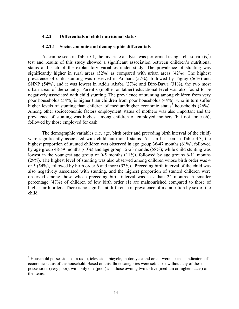#### **4.2.2 Differentials of child nutritional status**

#### **4.2.2.1 Socioeconomic and demographic differentials**

As can be seen in Table 5.1, the bivariate analysis was performed using a chi-square  $(\chi^2)$ test and results of this study showed a significant association between children's nutritional status and each of the explanatory variables under study. The prevalence of stunting was significantly higher in rural areas (52%) as compared with urban areas (42%). The highest prevalence of child stunting was observed in Amhara (57%), followed by Tigray (56%) and SNNP (54%), and it was lowest in Addis Ababa (27%) and Dire-Dawa (31%), the two most urban areas of the country. Parent's (mother or father) educational level was also found to be negatively associated with child stunting. The prevalence of stunting among children from very poor households (54%) is higher than children from poor households (44%), who in turn suffer higher levels of stunting than children of medium/higher economic status<sup>2</sup> households  $(26%)$ . Among other socioeconomic factors employment status of mothers was also important and the prevalence of stunting was highest among children of employed mothers (but not for cash), followed by those employed for cash.

The demographic variables (i.e. age, birth order and preceding birth interval of the child) were significantly associated with child nutritional status. As can be seen in Table 4.3, the highest proportion of stunted children was observed in age group 36-47 months (61%), followed by age group 48-59 months (60%) and age group 12-23 months (58%); while child stunting was lowest in the youngest age group of 0-5 months (11%), followed by age groups 6-11 months (29%). The highest level of stunting was also observed among children whose birth order was 4 or 5 (54%), followed by birth order 6 and more (53%). Preceding birth interval of the child was also negatively associated with stunting, and the highest proportion of stunted children were observed among those whose preceding birth interval was less than 24 months. A smaller percentage (47%) of children of low birth order (1) are malnourished compared to those of higher birth orders. There is no significant difference in prevalence of malnutrition by sex of the child.

<sup>&</sup>lt;sup>2</sup> Household possessions of a radio, television, bicycle, motorcycle and or car were taken as indicators of economic status of the household. Based on this, three categories were set: those without any of these possessions (very poor), with only one (poor) and those owning two to five (medium or higher status) of the items.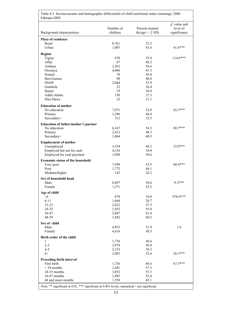| Background characteristics           | Number of<br>children | Percent stunted<br>$(ht/age < -2 SD)$ | $\chi^2$ -value and<br>level of<br>significance |
|--------------------------------------|-----------------------|---------------------------------------|-------------------------------------------------|
| Place of residence                   |                       |                                       |                                                 |
| Rural                                | 8,761                 | 52.3                                  |                                                 |
| Urban                                | 1,007                 | 41.6                                  | $41.6***$                                       |
| Region                               |                       |                                       |                                                 |
| Tigray                               | 670                   | 55.8                                  | $114.6***$                                      |
| Affar                                | 87                    | 48.2                                  |                                                 |
| Amhara                               | 2,562                 | 56.6                                  |                                                 |
| Oromiya                              | 4,006                 | 47.3                                  |                                                 |
| Somali                               | 78                    | 45.0                                  |                                                 |
| Ben-Gumuz                            | 98                    | 40.8                                  |                                                 |
| <b>SNNP</b>                          | 2,044                 | 53.9                                  |                                                 |
| Gambela                              | 22                    | 36.4                                  |                                                 |
| Harari                               | 19                    | 36.9                                  |                                                 |
| Addis Ababa                          | 150                   | 27.3                                  |                                                 |
| Dire-Dawa                            | 32                    | 31.1                                  |                                                 |
| <b>Education of mother</b>           |                       |                                       |                                                 |
| No education                         | 7,971                 | 52.8                                  | 82.3***                                         |
| Primary                              | 1,286                 | 48.8                                  |                                                 |
| Secondary+                           | 512                   | 32.5                                  |                                                 |
| Education of father/mother's partner |                       |                                       |                                                 |
| No education                         | 6,167                 | 54.3                                  | 80.7***                                         |
| Primary                              | 2,413                 | 48.3                                  |                                                 |
| Secondary+                           | 1,064                 | 40.5                                  |                                                 |
| <b>Employment of mother</b>          |                       |                                       |                                                 |
| Unemployed                           | 3,554                 | 48.2                                  | 25.9***                                         |
| Employed but not for cash            | 4,316                 | 54.0                                  |                                                 |
| Employed for cash payment            | 1,898                 | 50.6                                  |                                                 |
| Economic status of the household     |                       |                                       |                                                 |
| Very poor                            | 7,599                 | 53.5                                  | 88.4***                                         |
| Poor                                 | 1,772                 | 44.1                                  |                                                 |
| Medium/higher                        | 142                   | 26.2                                  |                                                 |
| Sex of household head                |                       |                                       |                                                 |
| Male                                 | 8,497                 | 50.6                                  | $9.37**$                                        |
| Female                               | 1,271                 | 55.2                                  |                                                 |
| Age of child                         |                       |                                       |                                                 |
| $<$ 6                                | 878                   | 10.8                                  | 978.6***                                        |
| $6 - 11$                             | 1,044                 | 28.7                                  |                                                 |
| $12 - 23$                            | 2,022                 | 57.5                                  |                                                 |
| 24-35                                | 1,935                 | 55.8                                  |                                                 |
| 36-47                                | 2,047                 | 61.4                                  |                                                 |
| 48-59                                | 1,842                 | 60.2                                  |                                                 |
| Sex of child                         |                       |                                       |                                                 |
| Male                                 | 4,953                 | 51.9                                  | 1.8                                             |
| Female                               | 4,816                 | 50.5                                  |                                                 |
| Birth order of the child             |                       |                                       |                                                 |
| 1                                    | 1,736                 | 46.6                                  |                                                 |
| $2 - 3$                              | 2,979                 | 50.4                                  |                                                 |
| $4 - 5$                              | 2,153                 | 54.3                                  |                                                 |
| $6+$                                 | 2,901                 | 52.6                                  | 26.3***                                         |
| Preceding birth interval             |                       |                                       |                                                 |
| First birth                          | 1,736                 | 46.6                                  | $67.3***$                                       |
| $<$ 24 months                        | 1,441                 | 57.5                                  |                                                 |
| 24-35 months                         | 3,052                 | 53.3                                  |                                                 |
| 36-47 months                         | 1,983                 | 52.4                                  |                                                 |
| 48 and more months                   | 1,558                 | 45.1                                  |                                                 |

Note: \*\* significant at  $0.01$ , \*\*\* significant at  $0.001$  levels, unmarked = not significant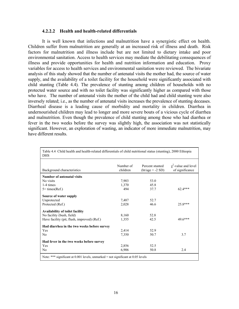#### **4.2.2.2 Health and health-related differentials**

It is well known that infections and malnutrition have a synergistic effect on health. Children suffer from malnutrition are generally at an increased risk of illness and death. Risk factors for malnutrition and illness include but are not limited to dietary intake and poor environmental sanitation. Access to health services may mediate the debilitating consequences of illness and provide opportunities for health and nutrition information and education. Proxy variables for access to health services and environmental sanitation were reviewed. The bivariate analysis of this study showed that the number of antenatal visits the mother had, the source of water supply, and the availability of a toilet facility for the household were significantly associated with child stunting (Table 4.4). The prevalence of stunting among children of households with no protected water source and with no toilet facility was significantly higher as compared with those who have. The number of antenatal visits the mother of the child had and child stunting were also inversely related; i.e., as the number of antenatal visits increases the prevalence of stunting deceases. Diarrheal disease is a leading cause of morbidity and mortality in children. Diarrhea in undernourished children may lead to longer and more severe bouts of a vicious cycle of diarrhea and malnutrition. Even though the prevalence of child stunting among those who had diarrhea or fever in the two weeks before the survey was slightly high, the association was not statistically significant. However, an exploration of wasting, an indicator of more immediate malnutrition, may have different results.

| Table 4.4 Child health and health-related differentials of child nutritional status (stunting), 2000 Ethiopia<br><b>DHS</b> |                       |                                       |                                              |  |  |
|-----------------------------------------------------------------------------------------------------------------------------|-----------------------|---------------------------------------|----------------------------------------------|--|--|
| Background characteristics                                                                                                  | Number of<br>children | Percent stunted<br>$(ht/age < -2 SD)$ | $\chi^2$ -value and level<br>of significance |  |  |
| Number of antenatal visits                                                                                                  |                       |                                       |                                              |  |  |
| No visits                                                                                                                   | 7,903                 | 53.0                                  |                                              |  |  |
| 1-4 times                                                                                                                   | 1,370                 | 45.8                                  |                                              |  |  |
| 5+ times(Ref.)                                                                                                              | 494                   | 37.7                                  | 62.4***                                      |  |  |
| Source of water supply                                                                                                      |                       |                                       |                                              |  |  |
| Unprotected                                                                                                                 | 7,487                 | 52.7                                  |                                              |  |  |
| Protected (Ref.)                                                                                                            | 2,028                 | 46.6                                  | 25.8***                                      |  |  |
| <b>Availability of toilet facility</b>                                                                                      |                       |                                       |                                              |  |  |
| No facility (bush, field)                                                                                                   | 8,160                 | 52.8                                  |                                              |  |  |
| Have facility (pit, flush, improved) (Ref.)                                                                                 | 1,355                 | 42.5                                  | 49.6***                                      |  |  |
| Had diarrhea in the two weeks before survey                                                                                 |                       |                                       |                                              |  |  |
| Yes                                                                                                                         | 2,414                 | 52.9                                  |                                              |  |  |
| No                                                                                                                          | 7.350                 | 50.7                                  | 3.7                                          |  |  |
| Had fever in the two weeks before survey                                                                                    |                       |                                       |                                              |  |  |
| Yes                                                                                                                         | 2,856                 | 52.5                                  |                                              |  |  |
| No                                                                                                                          | 6,906                 | 50.8                                  | 2.4                                          |  |  |
| Note: *** significant at 0.001 levels, unmarked = not significant at 0.05 levels                                            |                       |                                       |                                              |  |  |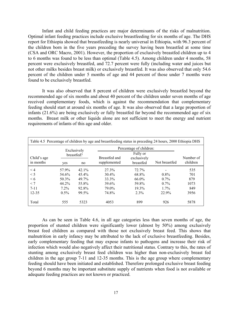Infant and child feeding practices are major determinants of the risks of malnutrition. Optimal infant feeding practices include exclusive breastfeeding for six months of age. The DHS report for Ethiopia showed that breastfeeding is nearly universal in Ethiopia, with 96.3 percent of the children born in the five years preceding the survey having been breastfed at some time (CSA and ORC Macro, 2001). However, the proportion of exclusively breastfed children up to 4 to 6 months was found to be less than optimal (Table 4.5). Among children under 4 months, 58 percent were exclusively breastfed, and 72.7 percent were fully (including water and juices but not other milks besides breast milk) or exclusively breastfed. It was also observed that only 54.6 percent of the children under 5 months of age and 44 percent of those under 7 months were found to be exclusively breastfed.

It was also observed that 8 percent of children were exclusively breastfed beyond the recommended age of six months and about 40 percent of the children under seven months of age received complementary foods, which is against the recommendation that complementary feeding should start at around six months of age. It was also observed that a large proportion of infants (21.6%) are being exclusively or fully breastfed far beyond the recommended age of six months. Breast milk or other liquids alone are not sufficient to meet the energy and nutrient requirements of infants of this age and older.

|             |                           |          | Table 4.5 Percentage of children by age and breastfeeding status in preceding 24 hours, 2000 Ethiopia DHS |                         |               |           |
|-------------|---------------------------|----------|-----------------------------------------------------------------------------------------------------------|-------------------------|---------------|-----------|
|             | Exclusively<br>breastfed? |          | Percentage of children:                                                                                   |                         |               |           |
| Child's age |                           |          | Breastfed and                                                                                             | Fully or<br>exclusively |               | Number of |
| in months   | yes                       | no       | supplemented                                                                                              | breastfed               | Not breastfed | children  |
| $\leq 4$    | 57.9%                     | $42.1\%$ | 27.3%                                                                                                     | 72.7%                   |               | 535       |
| $\leq 5$    | 54.6%                     | $45.4\%$ | $30.4\%$                                                                                                  | 68.8%                   | $0.8\%$       | 701       |
| $\leq 6$    | 50.3%                     | 49.7%    | 33.3%                                                                                                     | 66.0%                   | $0.7\%$       | 879       |
| < 7         | 44.2%                     | 55.8%    | 39.6%                                                                                                     | 59.8%                   | $0.7\%$       | 1073      |
| $7 - 11$    | $7.2\%$                   | 92.8%    | 79.0%                                                                                                     | 19.3%                   | $1.7\%$       | 849       |
| $12 - 35$   | $0.5\%$                   | 99.5%    | 74.8%                                                                                                     | $2.3\%$                 | 22.9%         | 3956      |
| Total       | 555                       | 5323     | 4053                                                                                                      | 899                     | 926           | 5878      |

As can be seen in Table 4.6, in all age categories less than seven months of age, the proportion of stunted children were significantly lower (almost by 50%) among exclusively breast feed children as compared with those not exclusively breast feed. This shows that malnutrition in early infancy may be attributed to the lack of exclusive breastfeeding. Besides, early complementary feeding that may expose infants to pathogens and increase their risk of infection which would also negatively affect their nutritional status. Contrary to this, the rates of stunting among exclusively breast feed children was higher than non-exclusively breast fed children in the age group 7-11 and 12-35 months. This is the age group where complementary feeding should have been initiated and established. Therefore prolonged exclusive breast feeding beyond 6 months may be important substitute supply of nutrients when food is not available or adequate feeding practices are not known or practiced.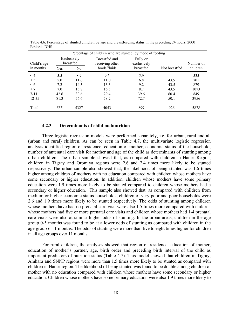| Percentage of children who are stunted, by mode of feeding |      |                                            |                                                  |                                      |               |                       |
|------------------------------------------------------------|------|--------------------------------------------|--------------------------------------------------|--------------------------------------|---------------|-----------------------|
| Child's age<br>in months                                   | Yes  | Exclusively<br>breastfed<br>N <sub>0</sub> | Breastfed and<br>receiving other<br>foods/fluids | Fully or<br>exclusively<br>breastfed | Not breastfed | Number of<br>children |
| $\leq 4$                                                   | 5.5  | 8.9                                        | 9.5                                              | 5.9                                  |               | 535                   |
| < 5                                                        | 5.0  | 11.6                                       | 11.0                                             | 6.8                                  | 43.5          | 701                   |
| < 6                                                        | 7.2  | 14.3                                       | 13.3                                             | 9.2                                  | 43.5          | 879                   |
| < 7                                                        | 7.0  | 15.8                                       | 16.5                                             | 8.7                                  | 43.5          | 1073                  |
| $7 - 11$                                                   | 42.6 | 30.6                                       | 29.4                                             | 39.6                                 | 60.4          | 849                   |
| $12 - 35$                                                  | 81.3 | 56.6                                       | 58.2                                             | 72.7                                 | 50.1          | 3956                  |
| Total                                                      | 555  | 5327                                       | 4053                                             | 899                                  | 926           | 5878                  |

Table  $4.6$ : Percentage of stunted children by age and breastfeeding status in the preceding  $24$  hours,

#### **4.2.3 Determinants of child malnutrition**

Three logistic regression models were performed separately, i.e. for urban, rural and all (urban and rural) children. As can be seen in Table 4.7, the multivariate logistic regression analysis identified region of residence, education of mother, economic status of the household, number of antenatal care visit for mother and age of the child as determinants of stunting among urban children. The urban sample showed that, as compared with children in Harari Region, children in Tigray and Oromiya regions were 2.6 and 2.4 times more likely to be stunted respectively. The urban sample also showed that, the likelihood of being stunted was 1.6 times higher among children of mothers with no education compared with children whose mothers have some secondary or higher education. In addition, children whose mothers have some primary education were 1.9 times more likely to be stunted compared to children whose mothers had a secondary or higher education. This sample also showed that, as compared with children from medium or higher economic status households, children of very poor and poor households were 2.6 and 1.9 times more likely to be stunted respectively. The odds of stunting among children whose mothers have had no prenatal care visit were also 1.5 times more compared with children whose mothers had five or more prenatal care visits and children whose mothers had 1-4 prenatal care visits were also at similar higher odds of stunting. In the urban areas, children in the age group 0-5 months was found to be at a lower odds of stunting as compared with children in the age group 6-11 months. The odds of stunting were more than five to eight times higher for children in all age groups over 11 months.

For rural children, the analyses showed that region of residence, education of mother, education of mother's partner, age, birth order and preceding birth interval of the child as important predictors of nutrition status (Table 4.7). This model showed that children in Tigray, Amhara and SNNP regions were more than 1.5 times more likely to be stunted as compared with children in Harari region. The likelihood of being stunted was found to be double among children of mother with no education compared with children whose mothers have some secondary or higher education. Children whose mothers have some primary education were also 1.9 times more likely to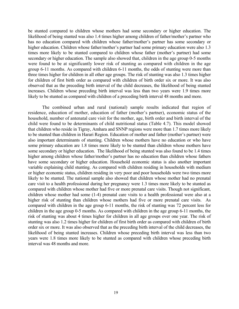be stunted compared to children whose mothers had some secondary or higher education. The likelihood of being stunted was also 1.4 times higher among children of father/mother's partner who has no education compared with children whose father/mother's partner has some secondary or higher education. Children whose father/mother's partner had some primary education were also 1.3 times more likely to be stunted compared to children whose father (mother's partner) had some secondary or higher education. The sample also showed that, children in the age group 0-5 months were found to be at significantly lower risk of stunting as compared with children in the age group 6-11 months. As compared with children 6-11 months, the odds of stunting were more than three times higher for children in all other age groups. The risk of stunting was also 1.3 times higher for children of first birth order as compared with children of birth order six or more. It was also observed that as the preceding birth interval of the child decreases, the likelihood of being stunted increases. Children whose preceding birth interval was less than two years were 1.9 times more likely to be stunted as compared with children of a preceding birth interval 48 months and more.

The combined urban and rural (national) sample results indicated that region of residence, education of mother, education of father (mother's partner), economic status of the household, number of antenatal care visit for the mother, age, birth order and birth interval of the child were found to be determinants of child nutritional status (Table 4.7). This model showed that children who reside in Tigray, Amhara and SNNP regions were more than 1.7 times more likely to be stunted than children in Harari Region. Education of mother and father (mother's partner) were also important determinants of stunting. Children whose mothers have no education or who have some primary education are 1.8 times more likely to be stunted than children whose mothers have some secondary or higher education. The likelihood of being stunted was also found to be 1.4 times higher among children whose father/mother's partner has no education than children whose fathers have some secondary or higher education. Household economic status is also another important variable explaining child stunting. As compared with children residing in households with medium or higher economic status, children residing in very poor and poor households were two times more likely to be stunted. The national sample also showed that children whose mother had no prenatal care visit to a health professional during her pregnancy were 1.3 times more likely to be stunted as compared with children whose mother had five or more prenatal care visits. Though not significant, children whose mother had some (1-4) prenatal care visits to a health professional were also at a higher risk of stunting than children whose mothers had five or more prenatal care visits. As compared with children in the age group 6-11 months, the risk of stunting was 72 percent less for children in the age group 0-5 months. As compared with children in the age group 6-11 months, the risk of stunting was about 4 times higher for children in all age groups over one year. The risk of stunting was also 1.2 times higher for children of first birth order as compared with children of birth order six or more. It was also observed that as the preceding birth interval of the child decreases, the likelihood of being stunted increases. Children whose preceding birth interval was less than two years were 1.8 times more likely to be stunted as compared with children whose preceding birth interval was 48 months and more.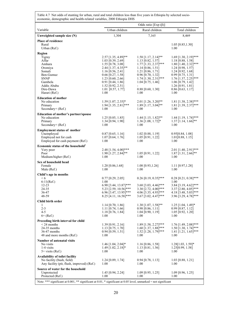| Variable                                                     | Odds ratio [ $Exp(\beta)$ ]                   |                                                  |                                                  |  |  |
|--------------------------------------------------------------|-----------------------------------------------|--------------------------------------------------|--------------------------------------------------|--|--|
|                                                              | Urban children                                | Rural children                                   | Total children                                   |  |  |
| Unweighted sample size (N)                                   | 1,304                                         | 7,165                                            | 8,469                                            |  |  |
| Place of residence                                           |                                               |                                                  |                                                  |  |  |
| Rural                                                        |                                               |                                                  | $1.05$ [0.85,1.30]                               |  |  |
| Urban (Ref.)                                                 |                                               |                                                  | 1.00                                             |  |  |
| Region<br>Tigray                                             | $2.57$ [1.35, 4.89]**                         | $1.58$ [1.17, 2.14]**                            | $1.69$ [1.30, 2.19]***                           |  |  |
| Affar                                                        | 1.03 [0.39, 2.69]                             | $1.13$ [0.82, 1.57]                              | $1.18$ [0.88, 1.58]                              |  |  |
| Amhara                                                       | $1.55$ [0.78, 3.08]                           | $1.77$ [1.33, 2.37]***                           | $1.80$ [1.40, 2.32]***                           |  |  |
| Oromiya                                                      | 2.44 [1.37, 4.35]**                           | $1.14$ [0.86, 1.51]                              | 1.24 [0.98, 1.57]                                |  |  |
| Somali<br>Ben-Gumuz                                          | $1.16$ [0.56, 2.41]<br>$0.66$ [0.27, 1.58]    | $1.21$ [0.86, 1.71]<br>$0.96$ [0.70, 1.32]       | $1.24$ [0.92, 1.68]<br>$0.99$ [0.75, 1.31]       |  |  |
| <b>SNNP</b>                                                  | $1.23$ [0.60, 2.66]                           | $1.74$ [1.30, 2.31]***                           | $1.76$ [1.37, 2.25]***                           |  |  |
| Gambela                                                      | $0.91$ [0.44, 1.86]                           | $1.04$ [0.75, 1.46]                              | 1.06 [0.79, 1.42]                                |  |  |
| Addis Ababa<br>Dire-Dawa                                     | $1.52$ [0.92, 2.51]                           |                                                  | $1.26$ [0.91, 1.81]<br>$0.86$ [0.63, 1.17]       |  |  |
| Harari (Ref.)                                                | $1.01$ [0.57, 1.77]<br>1.00                   | $0.88$ [0.60, 1.30]<br>1.00                      | 1.00                                             |  |  |
| <b>Education of mother</b>                                   |                                               |                                                  |                                                  |  |  |
| No education                                                 | $1.59$ [1.07, 2.35]*                          | 2.01 [1.26, 3.20]**                              | $1.81$ [1.38, 2.38]***                           |  |  |
| Primary                                                      | $1.94$ [1.35, 2.81]***                        | $1.89$ [1.17, 3.04]**                            | 1.81 $[1.39, 2.37]$ ***                          |  |  |
| Secondary+ (Ref.)                                            | 1.00                                          | 1.00                                             | 1.00                                             |  |  |
| <b>Education of mother's partner/spouse</b>                  |                                               |                                                  |                                                  |  |  |
| No education<br>Primary                                      | $1.25$ [0.85, 1.85]<br>$1.34$ [0.94, 1.90]    | $1.44$ [1.15, 1.82]**<br>$1.36$ [1.08, 1.72]*    | $1.44$ [1.19, 1.74]***<br>$1.37$ [1.14, 1.66]**  |  |  |
| Secondary+ $(Ref.)$                                          | 1.00                                          | 1.00                                             | 1.00                                             |  |  |
| <b>Employment status of mother</b>                           |                                               |                                                  |                                                  |  |  |
| Unemployed                                                   | $0.87$ [0.65, 1.16]                           | $1.02$ [0.88, 1.19]                              | 0.95[0.84, 1.08]                                 |  |  |
| Employed not for cash                                        | $1.07$ [0.64, 1.76]                           | $1.05$ [0.91, 1.22]                              | 1.01[0.88, 1.15]                                 |  |  |
| Employed for cash payment (Ref.)                             | 1.00                                          | 1.00                                             | 1.00                                             |  |  |
| Economic status of the household <sup>1</sup>                |                                               |                                                  |                                                  |  |  |
| Very poor<br>Poor                                            | 2.48 [1.54, 4.00]***<br>$1.90$ [1.27, 2.84]** | $1.05$ [0.91, 1.22]                              | 2.01 [1.40, 2.91]***<br>$1.87$ [1.31, 2.66]**    |  |  |
| Medium/higher (Ref.)                                         | 1.00                                          | 1.00                                             | 1.00                                             |  |  |
| Sex of household head                                        |                                               |                                                  |                                                  |  |  |
| Female                                                       | $1.20$ [0.86,1.68]                            | $1.08$ [0.93, 1.26]                              | $1.11$ [0.97,1.28]                               |  |  |
| Male (Ref.)                                                  | 1.00                                          | 1.00                                             | 1.00                                             |  |  |
| Child's age in months                                        |                                               |                                                  |                                                  |  |  |
| < 6<br>$6-11(Ref.)$                                          | $0.77$ [0.29, 2.05]<br>1.00                   | $0.26$ [0.19, 0.35]***                           | $0.28$ [0.21, 0.38]***<br>1.00                   |  |  |
| $12 - 23$                                                    | 6.90 [3.44, 13.87]***                         | 3.68 [3.03, 4.46]***                             | 3.84 [3.19, 4.62]***                             |  |  |
| 24-35                                                        | 5.23 [2.59, 10.56]***                         | 3.30 [2.72, 4.00]***                             | 3.37 [2.80, 4.05]***                             |  |  |
| 36-47                                                        | $6.96$ [3.47, 13.95]***                       | 4.06 [3.35, 4.93]***                             | 4.18 [3.48, 5.03]***                             |  |  |
| 48-59                                                        | $8.25$ [4.11, 16.58]***                       | 3.67 [3.02, 4.47]***                             | 3.96 [3.29, 4.78]***                             |  |  |
| Child birth order<br>1                                       | $1.14$ [0.70, 1.86]                           | $1.30$ [1.07, 1.58]**                            | $1.25$ [1.04, 1.49]*                             |  |  |
| $2 - 3$                                                      | $1.11$ [0.74, 1.66]                           | $0.98$ [0.86, 1.11]                              | $0.99$ [0.87, 1.12]                              |  |  |
| $4 - 5$                                                      | 1.18 [0.76, 1.84]                             | $1.04$ [0.90, 1.19]                              | $1.05$ [0.92, 1.20]                              |  |  |
| $6+$ (Ref.)                                                  | 1.00                                          | 1.00                                             | 1.00                                             |  |  |
| Preceding birth interval for child                           |                                               |                                                  |                                                  |  |  |
| $\leq$ 24 months<br>24-35 months                             | $1.39$ [0.91, 2.16]<br>$1.13$ [0.75, 1.70]    | $1.89$ [1.58, 2.27]***                           | $1.76$ [1.49, 2.08]***<br>$1.50$ [1.30, 1.74]*** |  |  |
| 36-47 months                                                 | $0.94$ [0.59, 1.51]                           | $1.60$ [1.37, 1.88]***<br>$1.52$ [1.28, 1.79]*** | 1.41 $[1.21, 1.65]$ ***                          |  |  |
| 48 and more months (Ref.)                                    | 1.00                                          | 1.00                                             | 1.00                                             |  |  |
| <b>Number of antenatal visits</b>                            |                                               |                                                  |                                                  |  |  |
| No visits                                                    | $1.46$ [1.04, 2.04]*                          | 1.16 [0.86, 1.58]                                | $1.28[1.03, 1.59]*$                              |  |  |
| 1-4 visits                                                   | $1.49$ [1.02, 2.18]*                          | $1.13$ [0.81, 1.56]                              | 1.25[0.99, 1.58]                                 |  |  |
| $5+$ visits (Ref.)                                           | 1.00                                          | 1.00                                             | 1.00                                             |  |  |
| Availability of toilet facility<br>No facility (bush, field) | $1.24$ [0.89, 1.74]                           | $0.94$ [0.78, 1.13]                              | $1.03$ [0.88, 1.21]                              |  |  |
| Any facility (pit, flush, improved) (Ref.)                   | 1.00                                          | 1.00                                             | 1.00                                             |  |  |
| Source of water for the household                            |                                               |                                                  |                                                  |  |  |
| Unprotected                                                  | 1.45 [0.94, 2.24]                             | $1.09$ [0.95, 1.25]                              | $1.09$ [0.96, 1.25]                              |  |  |
| Protected (Ref.)                                             | 1.00                                          | 1.00                                             | 1.00                                             |  |  |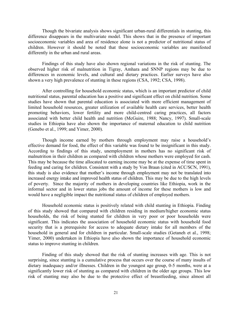Though the bivariate analysis shows significant urban-rural differentials in stunting, this difference disappears in the multivariate model. This shows that in the presence of important socioeconomic variables and area of residence alone is not a predictor of nutritional status of children. However it should be noted that these socioeconomic variables are manifested differently in the urban and rural areas.

Findings of this study have also shown regional variations in the risk of stunting. The observed higher risk of malnutrition in Tigray, Amhara and SNNP regions may be due to differences in economic levels, and cultural and dietary practices. Earlier surveys have also shown a very high prevalence of stunting in these regions (CSA, 1992; CSA, 1998).

After controlling for household economic status, which is an important predictor of child nutritional status, parental education has a positive and significant effect on child nutrition. Some studies have shown that parental education is associated with more efficient management of limited household resources, greater utilization of available health care services, better health promoting behaviors, lower fertility and more child-centred caring practices, all factors associated with better child health and nutrition (McGuire, 1988; Nancy, 1997). Small-scale studies in Ethiopia have also shown the importance of maternal education to child nutrition (Genebo et al., 1999; and Yimer, 2000).

Though income earned by mothers through employment may raise a household's effective demand for food, the effect of this variable was found to be insignificant in this study. According to findings of this study, unemployment in mothers has no significant risk of malnutrition in their children as compared with children whose mothers were employed for cash. This may be because the time allocated to earning income may be at the expense of time spent in feeding and caring for children. Consistent with a study by Von Braun (cited in ACC/SCN, 1991), this study is also evidence that mother's income through employment may not be translated into increased energy intake and improved health status of children. This may be due to the high levels of poverty. Since the majority of mothers in developing countries like Ethiopia, work in the informal sector and in lower status jobs the amount of income for these mothers is low and would have a negligible impact the nutritional status of children of employed mothers.

Household economic status is positively related with child stunting in Ethiopia. Finding of this study showed that compared with children residing in medium/higher economic status households, the risk of being stunted for children in very poor or poor households were significant. This indicates the association of household economic status with household food security that is a prerequisite for access to adequate dietary intake for all members of the household in general and for children in particular. Small-scale studies (Getaneh et al., 1998; Yimer, 2000) undertaken in Ethiopia have also shown the importance of household economic status to improve stunting in children.

Finding of this study showed that the risk of stunting increases with age. This is not surprising, since stunting is a cumulative process that occurs over the course of many insults of dietary inadequacy and/or illnesses. Children in the youngest age group, 0-5 months, were at a significantly lower risk of stunting as compared with children in the older age groups. This low risk of stunting may also be due to the protective effect of breastfeeding, since almost all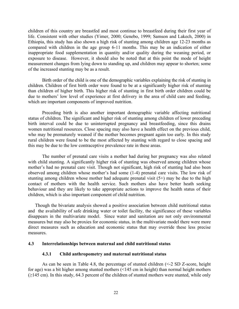children of this country are breastfed and most continue to breastfeed during their first year of life. Consistent with other studies (Yimer, 2000; Genebo, 1999; Samson and Lakech, 2000) in Ethiopia, this study has also shown a high risk of stunting among children age 12-23 months as compared with children in the age group 6-11 months. This may be an indication of either inappropriate food supplementation in quantity and/or quality during the weaning period, or exposure to disease. However, it should also be noted that at this point the mode of height measurement changes from lying down to standing up, and children may appear to shorten; some of the increased stunting may be as a result.

Birth order of the child is one of the demographic variables explaining the risk of stunting in children. Children of first birth order were found to be at a significantly higher risk of stunting than children of higher birth. This higher risk of stunting in first birth order children could be due to mothers' low level of experience at first delivery in the area of child care and feeding, which are important components of improved nutrition.

Preceding birth is also another important demographic variable affecting nutritional status of children. The significant and higher risk of stunting among children of lower preceding birth interval could be due to uninterrupted pregnancy and breastfeeding, since this drains women nutritional resources. Close spacing may also have a health effect on the previous child, who may be prematurely weaned if the mother becomes pregnant again too early. In this study rural children were found to be the most affected by stunting with regard to close spacing and this may be due to the low contraceptive prevalence rate in these areas.

The number of prenatal care visits a mother had during her pregnancy was also related with child stunting. A significantly higher risk of stunting was observed among children whose mother's had no prenatal care visit. Though not significant, high risk of stunting had also been observed among children whose mother's had some (1-4) prenatal care visits. The low risk of stunting among children whose mother had adequate prenatal visit (5+) may be due to the high contact of mothers with the health service. Such mothers also have better heath seeking behaviour and they are likely to take appropriate actions to improve the health status of their children, which is also important component of child nutrition.

Though the bivariate analysis showed a positive association between child nutritional status and the availability of safe drinking water or toilet facility, the significance of these variables disappears in the multivariate model. Since water and sanitation are not only environmental measures but may also be proxies for economic status, in the multivariate model there were more direct measures such as education and economic status that may override these less precise measures.

#### **4.3 Interrelationships between maternal and child nutritional status**

## **4.3.1 Child anthropometry and maternal nutritional status**

As can be seen in Table 4.8, the percentage of stunted children (<-2 SD Z-score, height for age) was a bit higher among stunted mothers (<145 cm in height) than normal height mothers  $(≥145$  cm). In this study, 64.3 percent of the children of stunted mothers were stunted, while only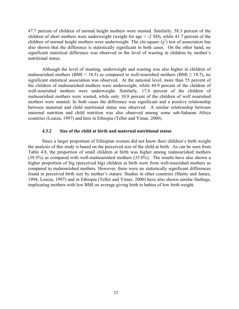47.7 percent of children of normal height mothers were stunted. Similarly, 58.3 percent of the children of short mothers were underweight (weight for age < -2 SD), while 41.7 percent of the children of normal height mothers were underweight. The chi-square  $(\chi^2)$  test of association has also shown that the difference is statistically significant in both cases. On the other hand, no significant statistical difference was observed in the level of wasting in children by mother's nutritional status.

Although the level of stunting, underweight and wasting was also higher in children of malnourished mothers (BMI < 18.5) as compared to well-nourished mothers (BMI  $\geq$  18.5), no significant statistical association was observed. At the national level, more than 55 percent of the children of malnourished mothers were underweight, while 44.9 percent of the children of well-nourished mothers were underweight. Similarly, 17.4 percent of the children of malnourished mothers were wasted, while only 10.8 percent of the children of well nourished mothers were stunted. In both cases the difference was significant and a positive relationship between maternal and child nutritional status was observed. A similar relationship between maternal nutrition and child nutrition was also observed among some sub-Saharan Africa countries (Loaiza, 1997) and here in Ethiopia (Teller and Yimar, 2000).

#### **4.3.2 Size of the child at birth and maternal nutritional status**

Since a larger proportion of Ethiopian women did not know their children's birth weight the analysis of this study is based on the perceived size of the child at birth. As can be seen from Table 4.8, the proportion of small children at birth was higher among malnourished mothers (39.5%) as compared with well-malnourished mothers (35.0%). The results have also shown a higher proportion of big (perceived big) children at birth were from well-nourished mothers as compared to malnourished mothers. However, there were no statistically significant differences found in perceived birth size by mother's stature. Studies in other countries (Shetty and James, 1994; Loaiza, 1997) and in Ethiopia (Teller and Yimer, 2000) have also shown similar findings, implicating mothers with low BMI on average giving birth to babies of low birth weight.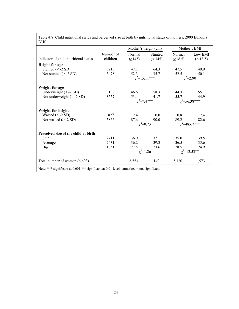|                                       | Number of<br>children | Mother's height (cm)    |                    | Mother's BMI        |                     |
|---------------------------------------|-----------------------|-------------------------|--------------------|---------------------|---------------------|
| Indicator of child nutritional status |                       | Normal<br>$( \geq 145)$ | Stunted<br>(< 145) | Normal<br>(218.5)   | Low BMI<br>(< 18.5) |
| Height-for-age                        |                       |                         |                    |                     |                     |
| Stunted $(< -2 SD$ )                  | 3215                  | 47.7                    | 64.3               | 47.5                | 49.9                |
| Not stunted $( \ge -2 SD )$           | 3478                  | 52.3                    | 35.7               | 52.5                | 50.1                |
|                                       |                       |                         | $\chi^2$ =15.11*** |                     | $\chi^2 = 2.90$     |
| Weight-for-age                        |                       |                         |                    |                     |                     |
| Underweight $(< -2 SD$ )              | 3136                  | 46.6                    | 58.3               | 44.3                | 55.1                |
| Not underweight $(\geq -2$ SD)        | 3557                  | 53.4                    | 41.7               | 55.7                | 44.9                |
|                                       |                       | $\chi^2$ =7.47**        |                    | $\chi^2 = 56.38***$ |                     |
| Weight-for-height                     |                       |                         |                    |                     |                     |
| Wasted $(< -2 SD$ )                   | 827                   | 12.4                    | 10.0               | 10.8                | 17.4                |
| Not wasted $( \ge -2 SD )$            | 5866                  | 87.6                    | 90.0               | 89.2                | 82.6                |
|                                       |                       | $\chi^2 = 0.73$         |                    | $\chi^2$ =48.67***  |                     |
| Perceived size of the child at birth  |                       |                         |                    |                     |                     |
| Small                                 | 2411                  | 36.0                    | 37.1               | 35.0                | 39.5                |
| Average                               | 2431                  | 36.2                    | 39.3               | 36.5                | 35.6                |
| <b>Big</b>                            | 1851                  | 27.8                    | 23.6               | 28.5                | 24.9                |
|                                       |                       | $\chi^2 = 1.26$         |                    | $\chi^2$ =12.53**   |                     |
| Total number of women (6,693)         |                       | 6,553                   | 140                | 5,120               | 1,573               |

Table 4.8 Child nutritional status and perceived size at birth by nutritional status of mothers, 2000 Ethiopia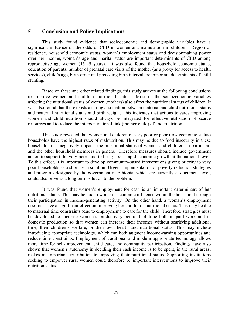#### **5 Conclusion and Policy Implications**

This study found evidence that socioeconomic and demographic variables have a significant influence on the odds of CED in women and malnutrition in children. Region of residence, household economic status, woman's employment status and decisionmaking power over her income, woman's age and marital status are important determinants of CED among reproductive age women (15-49 years). It was also found that household economic status, education of parents, number of prenatal care visits of the mother (as a proxy for access to health services), child's age, birth order and preceding birth interval are important determinants of child stunting.

Based on these and other related findings, this study arrives at the following conclusions to improve women and children nutritional status. Most of the socioeconomic variables affecting the nutritional status of women (mothers) also affect the nutritional status of children. It was also found that there exists a strong association between maternal and child nutritional status and maternal nutritional status and birth weight. This indicates that actions towards improving women and child nutrition should always be integrated for effective utilization of scarce resources and to reduce the intergenerational link (mother-child) of undernutrition.

This study revealed that women and children of very poor or poor (low economic status) households have the highest rates of malnutrition. This may be due to food insecurity in these households that negatively impacts the nutritional status of women and children, in particular, and the other household members in general. Therefore measures should include government action to support the very poor, and to bring about rapid economic growth at the national level. To this effect, it is important to develop community-based interventions giving priority to very poor households as a short-term solution. Urgent implementation of poverty reduction strategies and programs designed by the government of Ethiopia, which are currently at document level, could also serve as a long-term solution to the problem.

It was found that women's employment for cash is an important determinant of her nutritional status. This may be due to women's economic influence within the household through their participation in income-generating activity. On the other hand, a woman's employment does not have a significant effect on improving her children's nutritional status. This may be due to maternal time constraints (due to employment) to care for the child. Therefore, strategies must be developed to increase women's productivity per unit of time both in paid work and in domestic production so that women can increase their incomes without scarifying additional time, their children's welfare, or their own health and nutritional status. This may include introducing appropriate technology, which can both augment income-earning opportunities and reduce time constraints. Employment of traditional and modern appropriate technology allows more time for self-improvement, child care, and community participation. Findings have also shown that women's autonomy in deciding their cash income is to be spent, in the rural areas, makes an important contribution to improving their nutritional status. Supporting institutions seeking to empower rural women could therefore be important interventions to improve their nutrition status.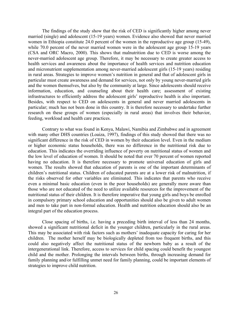The findings of the study show that the risk of CED is significantly higher among never married (single) and adolescent (15-19 years) women. Evidence also showed that never married women in Ethiopia constitute 24.0 percent of the women in the reproductive age group (15-49), while 70.0 percent of the never married women were in the adolescent age group 15-19 years (CSA and ORC Macro, 2000). This shows that malnutrition due to CED is worse among the never-married adolescent age group. Therefore, it may be necessary to create greater access to health services and awareness about the importance of health services and nutrition education and micronutrient supplementation among never-married adolescent girls (15-19 years) residing in rural areas. Strategies to improve women's nutrition in general and that of adolescent girls in particular must create awareness and demand for services, not only by young never-married girls and the women themselves, but also by the community at large. Since adolescents should receive information, education, and counseling about their health care; assessment of existing infrastructures to efficiently address the adolescent girls' reproductive health is also important. Besides, with respect to CED on adolescents in general and never married adolescents in particular; much has not been done in this country. It is therefore necessary to undertake further research on these groups of women (especially in rural areas) that involves their behavior, feeding, workload and health care practices.

Contrary to what was found in Kenya, Malawi, Namibia and Zimbabwe and in agreement with many other DHS countries (Loaiza, 1997), findings of this study showed that there was no significant difference in the risk of CED in women by their education level. Even in the medium or higher economic status households, there was no difference in the nutritional risk due to education. This indicates the overriding influence of poverty on nutritional status of women and the low level of education of women. It should be noted that over 70 percent of women reported having no education. It is therefore necessary to promote universal education of girls and women. The results showed that education of parents is one of the important determinants of children's nutritional status. Children of educated parents are at a lower risk of malnutrition, if the risks observed for other variables are eliminated. This indicates that parents who receive even a minimal basic education (even in the poor households) are generally more aware than those who are not educated of the need to utilize available resources for the improvement of the nutritional status of their children. It is therefore imperative that young girls and boys be enrolled in compulsory primary school education and opportunities should also be given to adult women and men to take part in non-formal education. Health and nutrition education should also be an integral part of the education process.

Close spacing of births, i.e. having a preceding birth interval of less than 24 months, showed a significant nutritional deficit in the younger children, particularly in the rural areas. This may be associated with risk factors such as mothers' inadequate capacity for caring for her children. The mother herself may be biologically depleted from too frequent births, and this could also negatively affect the nutritional status of the newborn baby as a result of the intergenerational link. Therefore, access to services for child spacing could benefit the youngest child and the mother. Prolonging the intervals between births, through increasing demand for family planning and/or fulfilling unmet need for family planning, could be important elements of strategies to improve child nutrition.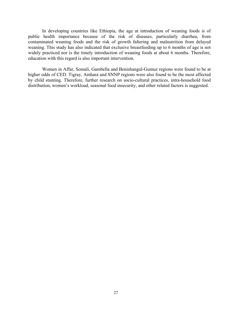In developing countries like Ethiopia, the age at introduction of weaning foods is of public health importance because of the risk of diseases, particularly diarrhea, from contaminated weaning foods and the risk of growth faltering and malnutrition from delayed weaning. This study has also indicated that exclusive breastfeeding up to 6 months of age is not widely practiced nor is the timely introduction of weaning foods at about 6 months. Therefore, education with this regard is also important intervention.

Women in Affar, Somali, Gambella and Benishangul-Gumuz regions were found to be at higher odds of CED. Tigray, Amhara and SNNP regions were also found to be the most affected by child stunting. Therefore, further research on socio-cultural practices, intra-household food distribution, women's workload, seasonal food insecurity, and other related factors is suggested.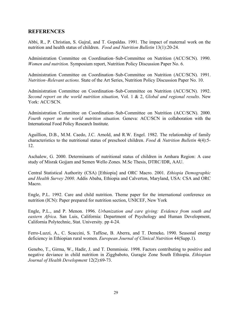## **REFERENCES**

Abbi, R., P. Christian, S. Gujral, and T. Gopaldas. 1991. The impact of maternal work on the nutrition and health status of children. *Food and Nutrition Bulletin* 13(1):20-24.

Administration Committee on Coordination–Sub-Committee on Nutrition (ACC/SCN). 1990. *Women and nutrition.* Symposium report, Nutrition Policy Discussion Paper No. 6.

Administration Committee on Coordination–Sub-Committee on Nutrition (ACC/SCN). 1991. *Nutrition–Relevant actions.* State of the Art Series, Nutrition Policy Discussion Paper No. 10.

Administration Committee on Coordination–Sub-Committee on Nutrition (ACC/SCN). 1992. *Second report on the world nutrition situation,* Vol. 1 & 2, *Global and regional results*. New York: ACC/SCN.

Administration Committee on Coordination–Sub-Committee on Nutrition (ACC/SCN). 2000. *Fourth report on the world nutrition situation.* Geneva: ACC/SCN in collaboration with the International Food Policy Research Institute.

Aguillion, D.B., M.M. Caedo, J.C. Arnold, and R.W. Engel. 1982. The relationship of family characteristics to the nutritional status of preschool children. *Food & Nutrition Bulletin* 4(4):5- 12.

Aschalew, G. 2000. Determinants of nutritional status of children in Amhara Region: A case study of Misrak Gojjam and Semen Wello Zones. M.Sc Thesis, DTRC/IDR, AAU.

Central Statistical Authority (CSA) [Ethiopia] and ORC Macro. 2001. *Ethiopia Demographic and Health Survey 2000*. Addis Ababa, Ethiopia and Calverton, Maryland, USA: CSA and ORC Macro.

Engle, P.L. 1992. Care and child nutrition. Theme paper for the international conference on nutrition (ICN): Paper prepared for nutrition section, UNICEF, New York

Engle, P.L., and P. Menon. 1996. *Urbanization and care giving: Evidence from south and eastern Africa*. San Luis, California: Department of Psychology and Human Development, California Polytechnic, Stat. University. pp 4-24.

Ferro-Luzzi, A., C. Scaccini, S. Taffese, B. Aberra, and T. Demeke**.** 1990. Seasonal energy deficiency in Ethiopian rural women. *European Journal of Clinical Nutrition* 44(Supp.1).

Genebo, T., Girma, W., Hadir, J. and T. Demmissie. 1998. Factors contributing to positive and negative deviance in child nutrition in Ziggbaboto, Guragie Zone South Ethiopia. *Ethiopian Journal of Health Development* 12(2):69-73.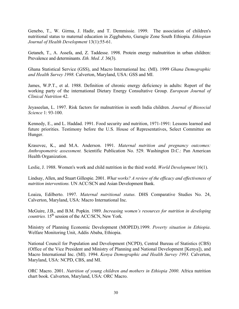Genebo, T., W. Girma, J. Hadir, and T. Demmissie. 1999. The association of children's nutritional status to maternal education in Ziggbaboto, Guragie Zone South Ethiopia*. Ethiopian Journal of Health Development* 13(1):55-61.

Getaneh, T., A. Assefa, and, Z. Taddesse. 1998. Protein energy malnutrition in urban children: Prevalence and determinants. *Eth. Med. J.* 36(3).

Ghana Statistical Service (GSS), and Macro International Inc. (MI). 1999 *Ghana Demographic and Health Survey 1998.* Calverton, Maryland, USA: GSS and MI.

James, W.P.T., et al. 1988. Definition of chronic energy deficiency in adults: Report of the working party of the international Dietary Energy Consultative Group. *European Journal of Clinical Nutrition* 42.

Jeyaseelan, L. 1997. Risk factors for malnutrition in south India children. *Journal of Biosocial Science* 1: 93-100.

Kennedy, E., and L. Haddad. 1991. Food security and nutrition, 1971-1991: Lessons learned and future priorities. Testimony before the U.S. House of Representatives, Select Committee on Hunger.

Krasovec, K., and M.A. Anderson. 1991. *Maternal nutrition and pregnancy outcomes: Anthropometric assessment.* Scientific Publication No. 529. Washington D.C.: Pan American Health Organization.

Leslie, J. 1988. Women's work and child nutrition in the third world. *World Development* 16(1).

Lindsay, Allen, and Stuart Gillespie. 2001. *What works? A review of the efficacy and effectiveness of nutrition interventions.* UN ACC/SCN and Asian Development Bank.

Loaiza, Edilberto. 1997. *Maternal nutritional status.* DHS Comparative Studies No. 24, Calverton, Maryland, USA: Macro International Inc.

McGuire, J.B., and B.M. Popkin. 1989. *Increasing women's resources for nutrition in developing countries.* 15<sup>th</sup> session of the ACC/SCN, New York.

Ministry of Planning Economic Development (MOPED).1999. *Poverty situation in Ethiopia*. Welfare Monitoring Unit, Addis Ababa, Ethiopia.

National Council for Population and Development (NCPD), Central Bureau of Statistics (CBS) (Office of the Vice President and Ministry of Planning and National Development [Kenya]), and Macro International Inc. (MI). 1994. *Kenya Demographic and Health Survey 1993.* Calverton, Maryland, USA: NCPD, CBS, and MI.

ORC Macro. 2001. *Nutrition of young children and mothers in Ethiopia 2000*. Africa nutrition chart book. Calverton, Maryland, USA: ORC Macro.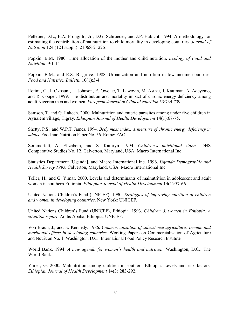Pelletier, D.L., E.A. Frongillo, Jr., D.G. Schroeder, and J.P. Habicht. 1994. A methodology for estimating the contribution of malnutrition to child mortality in developing countries. *Journal of Nutrition* 124 (124 suppl.): 2106S-2122S.

Popkin, B.M. 1980. Time allocation of the mother and child nutrition. *Ecology of Food and Nutrition* 9:1-14.

Popkin, B.M., and E.Z. Bisgrove. 1988. Urbanization and nutrition in low income countries. *Food and Nutrition Bulletin* 10(1):3-4.

Rotimi, C., I. Okosun , L. Johnson, E. Owoaje, T. Lawoyin, M. Asuzu, J. Kaufman, A. Adeyemo, and R. Cooper. 1999. The distribution and mortality impact of chronic energy deficiency among adult Nigerian men and women. *European Journal of Clinical Nutrition* 53:734-739.

Samson, T. and G. Lakech. 2000**.** Malnutrition and enteric parasites among under five children in Aynalem village, Tigray. *Ethiopian Journal of Health Development* 14(1):67-75.

Shetty, P.S., and W.P.T. James. 1994. *Body mass index: A measure of chronic energy deficiency in adults.* Food and Nutrition Paper No. 56. Rome: FAO.

Sommerfelt, A. Elizabeth, and S. Kathryn. 1994. *Children's nutritional status*. DHS Comparative Studies No. 12. Calverton, Maryland, USA: Macro International Inc.

Statistics Department [Uganda], and Macro International Inc. 1996. *Uganda Demographic and Health Survey 1995.* Calverton, Maryland, USA: Macro International Inc.

Teller, H., and G. Yimar. 2000. Levels and determinants of malnutrition in adolescent and adult women in southern Ethiopia. *Ethiopian Journal of Health Development* 14(1):57-66.

United Nations Children's Fund (UNICEF). 1990. *Strategies of improving nutrition of children and women in developing countries*. New York: UNICEF.

United Nations Children's Fund (UNICEF), Ethiopia. 1993. *Children & women in Ethiopia, A situation report*. Addis Ababa, Ethiopia: UNICEF.

Von Braun, J., and E. Kennedy. 1986. *Commercialization of subsistence agriculture: Income and nutritional effects in developing countries.* Working Papers on Commercialization of Agriculture and Nutrition No. 1. Washington, D.C.: International Food Policy Research Institute*.* 

World Bank. 1994. *A new agenda for women's health and nutrition*. Washington, D.C.: The World Bank.

Yimer, G. 2000**.** Malnutrition among children in southern Ethiopia: Levels and risk factors*. Ethiopian Journal of Health Development* 14(3):283-292.